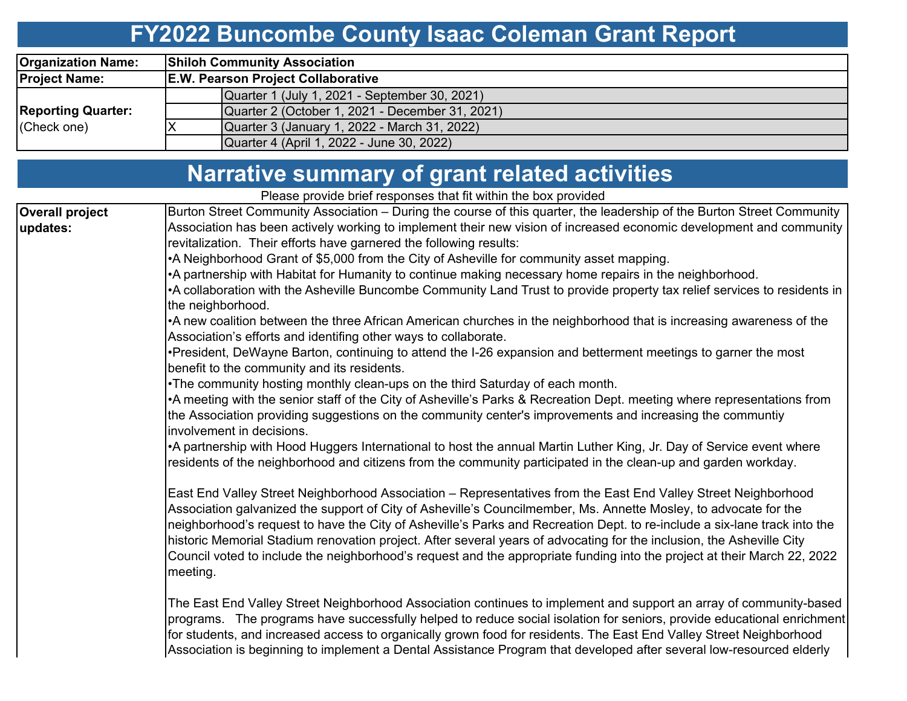### **FY2022 Buncombe County Isaac Coleman Grant Report**

| <b>Organization Name:</b> | <b>Shiloh Community Association</b>             |  |  |  |  |  |  |  |  |  |  |  |
|---------------------------|-------------------------------------------------|--|--|--|--|--|--|--|--|--|--|--|
| <b>Project Name:</b>      | <b>E.W. Pearson Project Collaborative</b>       |  |  |  |  |  |  |  |  |  |  |  |
|                           | Quarter 1 (July 1, 2021 - September 30, 2021)   |  |  |  |  |  |  |  |  |  |  |  |
| <b>Reporting Quarter:</b> | Quarter 2 (October 1, 2021 - December 31, 2021) |  |  |  |  |  |  |  |  |  |  |  |
| (Check one)               | Quarter 3 (January 1, 2022 - March 31, 2022)    |  |  |  |  |  |  |  |  |  |  |  |
|                           | Quarter 4 (April 1, 2022 - June 30, 2022)       |  |  |  |  |  |  |  |  |  |  |  |

| <b>Narrative summary of grant related activities</b>            |  |
|-----------------------------------------------------------------|--|
| Please provide brief responses that fit within the boy provided |  |

Please provide brief responses that fit within the box provided Burton Street Community Association – During the course of this quarter, the leadership of the Burton Street Community Association has been actively working to implement their new vision of increased economic development and community revitalization. Their efforts have garnered the following results: •A Neighborhood Grant of \$5,000 from the City of Asheville for community asset mapping. •A partnership with Habitat for Humanity to continue making necessary home repairs in the neighborhood. •A collaboration with the Asheville Buncombe Community Land Trust to provide property tax relief services to residents in the neighborhood. •A new coalition between the three African American churches in the neighborhood that is increasing awareness of the Association's efforts and identifing other ways to collaborate. •President, DeWayne Barton, continuing to attend the I-26 expansion and betterment meetings to garner the most benefit to the community and its residents. •The community hosting monthly clean-ups on the third Saturday of each month. •A meeting with the senior staff of the City of Asheville's Parks & Recreation Dept. meeting where representations from the Association providing suggestions on the community center's improvements and increasing the communtiy involvement in decisions. •A partnership with Hood Huggers International to host the annual Martin Luther King, Jr. Day of Service event where residents of the neighborhood and citizens from the community participated in the clean-up and garden workday. East End Valley Street Neighborhood Association – Representatives from the East End Valley Street Neighborhood Association galvanized the support of City of Asheville's Councilmember, Ms. Annette Mosley, to advocate for the neighborhood's request to have the City of Asheville's Parks and Recreation Dept. to re-include a six-lane track into the historic Memorial Stadium renovation project. After several years of advocating for the inclusion, the Asheville City Council voted to include the neighborhood's request and the appropriate funding into the project at their March 22, 2022 meeting. The East End Valley Street Neighborhood Association continues to implement and support an array of community-based programs. The programs have successfully helped to reduce social isolation for seniors, provide educational enrichment for students, and increased access to organically grown food for residents. The East End Valley Street Neighborhood **Overall project updates:**

Association is beginning to implement a Dental Assistance Program that developed after several low-resourced elderly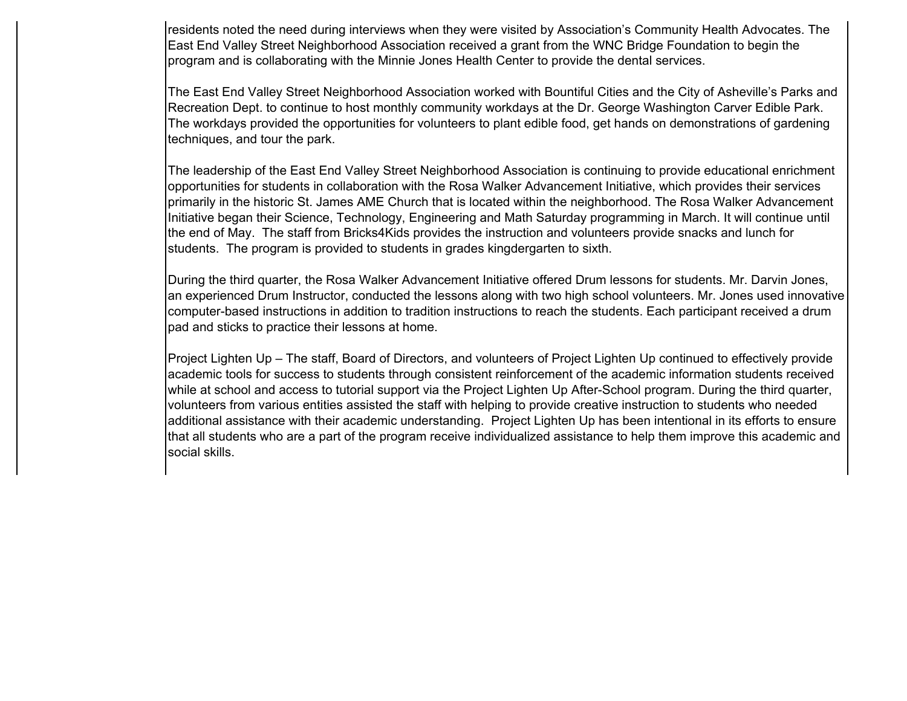residents noted the need during interviews when they were visited by Association's Community Health Advocates. The East End Valley Street Neighborhood Association received a grant from the WNC Bridge Foundation to begin the program and is collaborating with the Minnie Jones Health Center to provide the dental services.

The East End Valley Street Neighborhood Association worked with Bountiful Cities and the City of Asheville's Parks and Recreation Dept. to continue to host monthly community workdays at the Dr. George Washington Carver Edible Park. The workdays provided the opportunities for volunteers to plant edible food, get hands on demonstrations of gardening techniques, and tour the park.

The leadership of the East End Valley Street Neighborhood Association is continuing to provide educational enrichment opportunities for students in collaboration with the Rosa Walker Advancement Initiative, which provides their services primarily in the historic St. James AME Church that is located within the neighborhood. The Rosa Walker Advancement Initiative began their Science, Technology, Engineering and Math Saturday programming in March. It will continue until the end of May. The staff from Bricks4Kids provides the instruction and volunteers provide snacks and lunch for students. The program is provided to students in grades kingdergarten to sixth.

During the third quarter, the Rosa Walker Advancement Initiative offered Drum lessons for students. Mr. Darvin Jones, an experienced Drum Instructor, conducted the lessons along with two high school volunteers. Mr. Jones used innovative computer-based instructions in addition to tradition instructions to reach the students. Each participant received a drum pad and sticks to practice their lessons at home.

Project Lighten Up – The staff, Board of Directors, and volunteers of Project Lighten Up continued to effectively provide academic tools for success to students through consistent reinforcement of the academic information students received while at school and access to tutorial support via the Project Lighten Up After-School program. During the third quarter, volunteers from various entities assisted the staff with helping to provide creative instruction to students who needed additional assistance with their academic understanding. Project Lighten Up has been intentional in its efforts to ensure that all students who are a part of the program receive individualized assistance to help them improve this academic and social skills.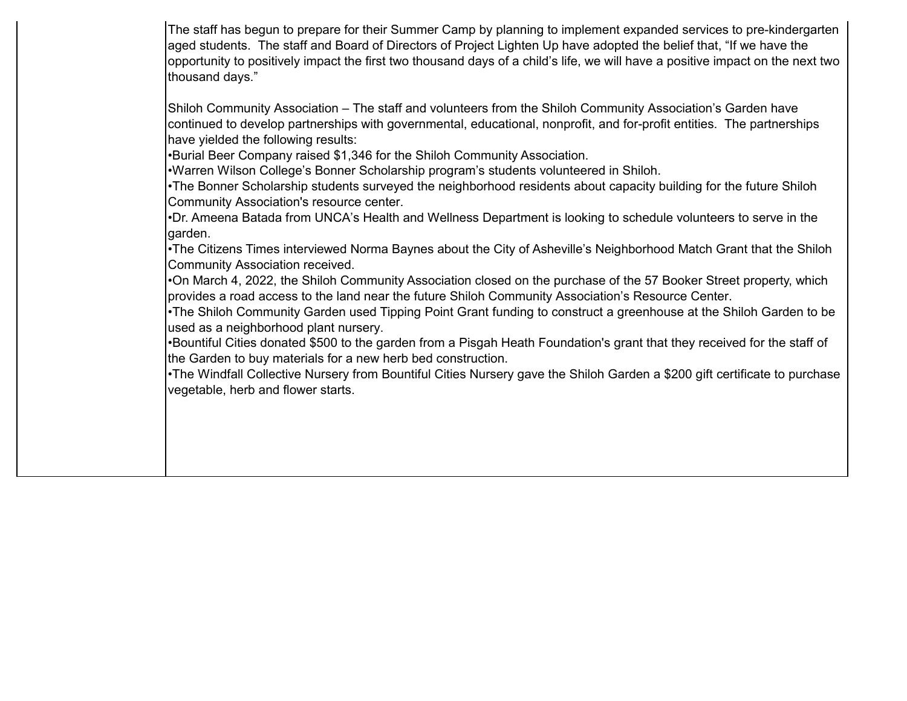The staff has begun to prepare for their Summer Camp by planning to implement expanded services to pre-kindergarten aged students. The staff and Board of Directors of Project Lighten Up have adopted the belief that, "If we have the opportunity to positively impact the first two thousand days of a child's life, we will have a positive impact on the next two thousand days."

Shiloh Community Association – The staff and volunteers from the Shiloh Community Association's Garden have continued to develop partnerships with governmental, educational, nonprofit, and for-profit entities. The partnerships have yielded the following results:

•Burial Beer Company raised \$1,346 for the Shiloh Community Association.

•Warren Wilson College's Bonner Scholarship program's students volunteered in Shiloh.

•The Bonner Scholarship students surveyed the neighborhood residents about capacity building for the future Shiloh Community Association's resource center.

•Dr. Ameena Batada from UNCA's Health and Wellness Department is looking to schedule volunteers to serve in the garden.

•The Citizens Times interviewed Norma Baynes about the City of Asheville's Neighborhood Match Grant that the Shiloh Community Association received.

•On March 4, 2022, the Shiloh Community Association closed on the purchase of the 57 Booker Street property, which provides a road access to the land near the future Shiloh Community Association's Resource Center.

•The Shiloh Community Garden used Tipping Point Grant funding to construct a greenhouse at the Shiloh Garden to be used as a neighborhood plant nursery.

•Bountiful Cities donated \$500 to the garden from a Pisgah Heath Foundation's grant that they received for the staff of the Garden to buy materials for a new herb bed construction.

•The Windfall Collective Nursery from Bountiful Cities Nursery gave the Shiloh Garden a \$200 gift certificate to purchase vegetable, herb and flower starts.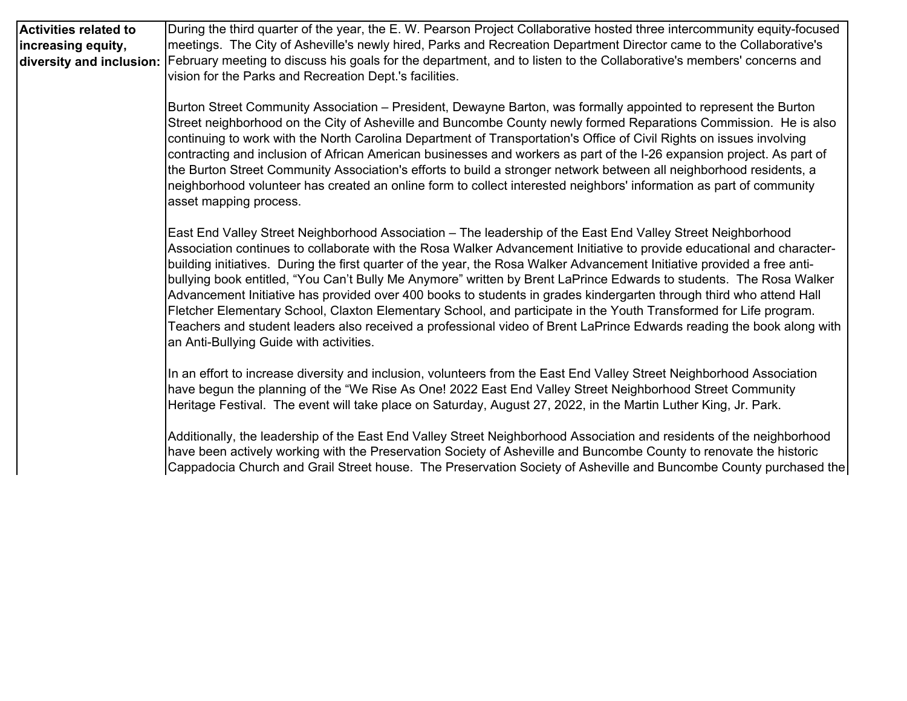| Activities related to                          | During the third quarter of the year, the E. W. Pearson Project Collaborative hosted three intercommunity equity-focused                                                                                                                                                                                                                                                                                                                                                                                                                                                                                                                                                                                                                                                                                                                                                                                 |  |  |  |  |  |  |  |  |  |
|------------------------------------------------|----------------------------------------------------------------------------------------------------------------------------------------------------------------------------------------------------------------------------------------------------------------------------------------------------------------------------------------------------------------------------------------------------------------------------------------------------------------------------------------------------------------------------------------------------------------------------------------------------------------------------------------------------------------------------------------------------------------------------------------------------------------------------------------------------------------------------------------------------------------------------------------------------------|--|--|--|--|--|--|--|--|--|
| increasing equity,<br>diversity and inclusion: | meetings. The City of Asheville's newly hired, Parks and Recreation Department Director came to the Collaborative's<br>February meeting to discuss his goals for the department, and to listen to the Collaborative's members' concerns and                                                                                                                                                                                                                                                                                                                                                                                                                                                                                                                                                                                                                                                              |  |  |  |  |  |  |  |  |  |
|                                                | vision for the Parks and Recreation Dept.'s facilities.                                                                                                                                                                                                                                                                                                                                                                                                                                                                                                                                                                                                                                                                                                                                                                                                                                                  |  |  |  |  |  |  |  |  |  |
|                                                | Burton Street Community Association – President, Dewayne Barton, was formally appointed to represent the Burton<br>Street neighborhood on the City of Asheville and Buncombe County newly formed Reparations Commission. He is also<br>continuing to work with the North Carolina Department of Transportation's Office of Civil Rights on issues involving<br>contracting and inclusion of African American businesses and workers as part of the I-26 expansion project. As part of<br>the Burton Street Community Association's efforts to build a stronger network between all neighborhood residents, a<br>neighborhood volunteer has created an online form to collect interested neighbors' information as part of community<br>asset mapping process.                                                                                                                                            |  |  |  |  |  |  |  |  |  |
|                                                | East End Valley Street Neighborhood Association - The leadership of the East End Valley Street Neighborhood<br>Association continues to collaborate with the Rosa Walker Advancement Initiative to provide educational and character-<br>building initiatives. During the first quarter of the year, the Rosa Walker Advancement Initiative provided a free anti-<br>bullying book entitled, "You Can't Bully Me Anymore" written by Brent LaPrince Edwards to students. The Rosa Walker<br>Advancement Initiative has provided over 400 books to students in grades kindergarten through third who attend Hall<br>Fletcher Elementary School, Claxton Elementary School, and participate in the Youth Transformed for Life program.<br>Teachers and student leaders also received a professional video of Brent LaPrince Edwards reading the book along with<br>an Anti-Bullying Guide with activities. |  |  |  |  |  |  |  |  |  |
|                                                | In an effort to increase diversity and inclusion, volunteers from the East End Valley Street Neighborhood Association<br>have begun the planning of the "We Rise As One! 2022 East End Valley Street Neighborhood Street Community<br>Heritage Festival. The event will take place on Saturday, August 27, 2022, in the Martin Luther King, Jr. Park.                                                                                                                                                                                                                                                                                                                                                                                                                                                                                                                                                    |  |  |  |  |  |  |  |  |  |
|                                                | Additionally, the leadership of the East End Valley Street Neighborhood Association and residents of the neighborhood<br>have been actively working with the Preservation Society of Asheville and Buncombe County to renovate the historic<br>Cappadocia Church and Grail Street house. The Preservation Society of Asheville and Buncombe County purchased the                                                                                                                                                                                                                                                                                                                                                                                                                                                                                                                                         |  |  |  |  |  |  |  |  |  |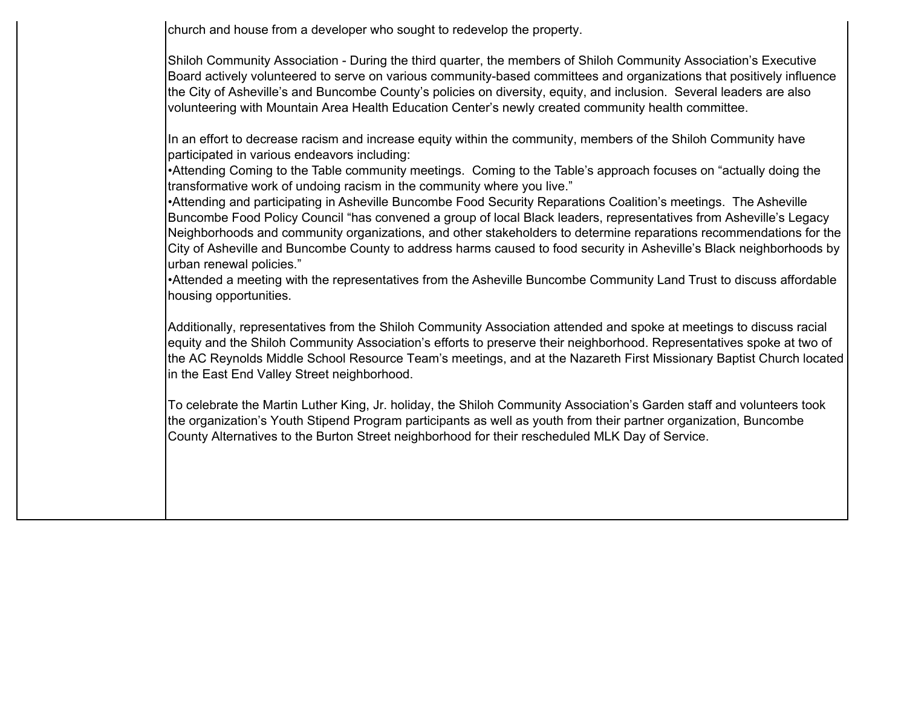church and house from a developer who sought to redevelop the property.

Shiloh Community Association - During the third quarter, the members of Shiloh Community Association's Executive Board actively volunteered to serve on various community-based committees and organizations that positively influence the City of Asheville's and Buncombe County's policies on diversity, equity, and inclusion. Several leaders are also volunteering with Mountain Area Health Education Center's newly created community health committee.

In an effort to decrease racism and increase equity within the community, members of the Shiloh Community have participated in various endeavors including:

•Attending Coming to the Table community meetings. Coming to the Table's approach focuses on "actually doing the transformative work of undoing racism in the community where you live."

•Attending and participating in Asheville Buncombe Food Security Reparations Coalition's meetings. The Asheville Buncombe Food Policy Council "has convened a group of local Black leaders, representatives from Asheville's Legacy Neighborhoods and community organizations, and other stakeholders to determine reparations recommendations for the City of Asheville and Buncombe County to address harms caused to food security in Asheville's Black neighborhoods by urban renewal policies."

•Attended a meeting with the representatives from the Asheville Buncombe Community Land Trust to discuss affordable housing opportunities.

Additionally, representatives from the Shiloh Community Association attended and spoke at meetings to discuss racial lequity and the Shiloh Community Association's efforts to preserve their neighborhood. Representatives spoke at two of the AC Reynolds Middle School Resource Team's meetings, and at the Nazareth First Missionary Baptist Church located in the East End Valley Street neighborhood.

To celebrate the Martin Luther King, Jr. holiday, the Shiloh Community Association's Garden staff and volunteers took the organization's Youth Stipend Program participants as well as youth from their partner organization, Buncombe County Alternatives to the Burton Street neighborhood for their rescheduled MLK Day of Service.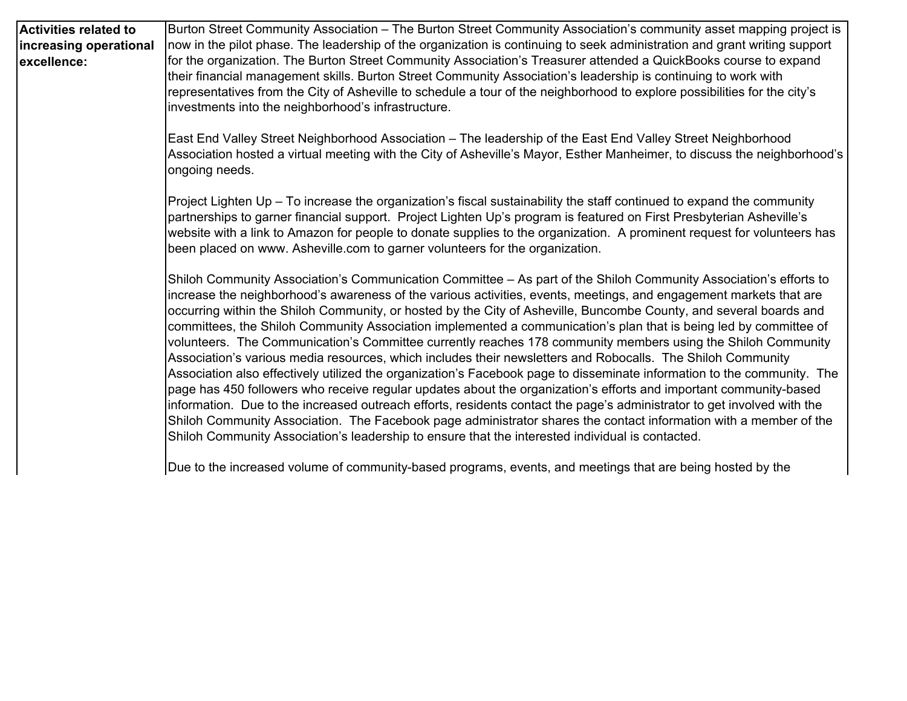| <b>Activities related to</b><br>increasing operational<br>excellence: | Burton Street Community Association - The Burton Street Community Association's community asset mapping project is<br>now in the pilot phase. The leadership of the organization is continuing to seek administration and grant writing support<br>for the organization. The Burton Street Community Association's Treasurer attended a QuickBooks course to expand<br>their financial management skills. Burton Street Community Association's leadership is continuing to work with<br>representatives from the City of Asheville to schedule a tour of the neighborhood to explore possibilities for the city's<br>investments into the neighborhood's infrastructure.                                                                                                                                                                                                                                                                                                                                                                                                                                                                                                                                                                                                                                             |
|-----------------------------------------------------------------------|-----------------------------------------------------------------------------------------------------------------------------------------------------------------------------------------------------------------------------------------------------------------------------------------------------------------------------------------------------------------------------------------------------------------------------------------------------------------------------------------------------------------------------------------------------------------------------------------------------------------------------------------------------------------------------------------------------------------------------------------------------------------------------------------------------------------------------------------------------------------------------------------------------------------------------------------------------------------------------------------------------------------------------------------------------------------------------------------------------------------------------------------------------------------------------------------------------------------------------------------------------------------------------------------------------------------------|
|                                                                       | East End Valley Street Neighborhood Association - The leadership of the East End Valley Street Neighborhood<br>Association hosted a virtual meeting with the City of Asheville's Mayor, Esther Manheimer, to discuss the neighborhood's<br>ongoing needs.                                                                                                                                                                                                                                                                                                                                                                                                                                                                                                                                                                                                                                                                                                                                                                                                                                                                                                                                                                                                                                                             |
|                                                                       | Project Lighten Up - To increase the organization's fiscal sustainability the staff continued to expand the community<br>partnerships to garner financial support. Project Lighten Up's program is featured on First Presbyterian Asheville's<br>website with a link to Amazon for people to donate supplies to the organization. A prominent request for volunteers has<br>been placed on www. Asheville.com to garner volunteers for the organization.                                                                                                                                                                                                                                                                                                                                                                                                                                                                                                                                                                                                                                                                                                                                                                                                                                                              |
|                                                                       | Shiloh Community Association's Communication Committee - As part of the Shiloh Community Association's efforts to<br>increase the neighborhood's awareness of the various activities, events, meetings, and engagement markets that are<br>occurring within the Shiloh Community, or hosted by the City of Asheville, Buncombe County, and several boards and<br>committees, the Shiloh Community Association implemented a communication's plan that is being led by committee of<br>volunteers. The Communication's Committee currently reaches 178 community members using the Shiloh Community<br>Association's various media resources, which includes their newsletters and Robocalls. The Shiloh Community<br>Association also effectively utilized the organization's Facebook page to disseminate information to the community. The<br>page has 450 followers who receive regular updates about the organization's efforts and important community-based<br>information. Due to the increased outreach efforts, residents contact the page's administrator to get involved with the<br>Shiloh Community Association. The Facebook page administrator shares the contact information with a member of the<br>Shiloh Community Association's leadership to ensure that the interested individual is contacted. |
|                                                                       | Due to the increased volume of community-based programs, events, and meetings that are being hosted by the                                                                                                                                                                                                                                                                                                                                                                                                                                                                                                                                                                                                                                                                                                                                                                                                                                                                                                                                                                                                                                                                                                                                                                                                            |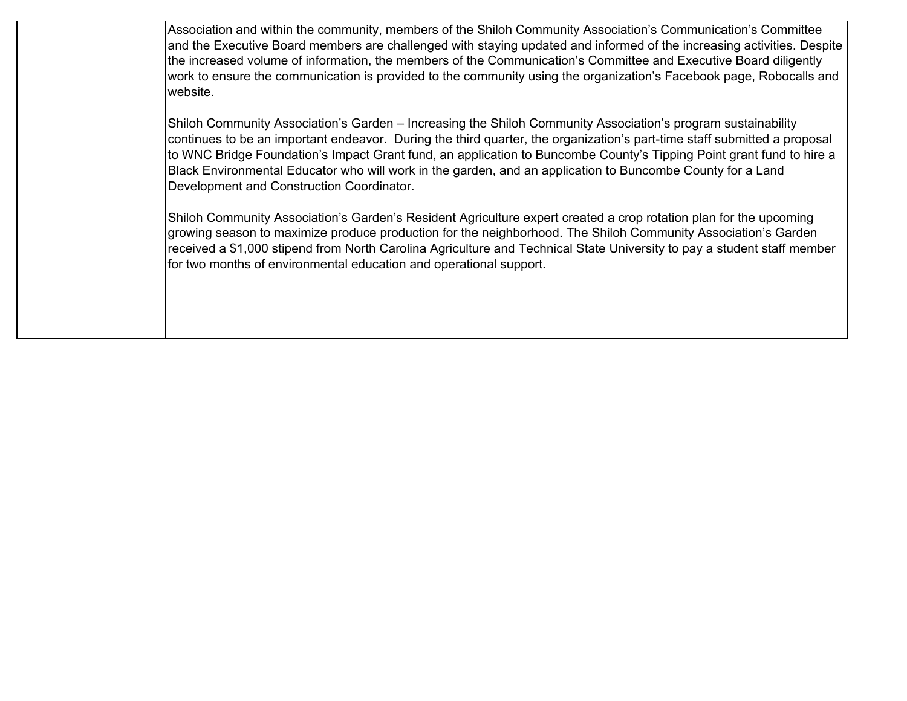Association and within the community, members of the Shiloh Community Association's Communication's Committee and the Executive Board members are challenged with staying updated and informed of the increasing activities. Despite the increased volume of information, the members of the Communication's Committee and Executive Board diligently work to ensure the communication is provided to the community using the organization's Facebook page, Robocalls and website.

Shiloh Community Association's Garden – Increasing the Shiloh Community Association's program sustainability continues to be an important endeavor. During the third quarter, the organization's part-time staff submitted a proposal to WNC Bridge Foundation's Impact Grant fund, an application to Buncombe County's Tipping Point grant fund to hire a Black Environmental Educator who will work in the garden, and an application to Buncombe County for a Land Development and Construction Coordinator.

Shiloh Community Association's Garden's Resident Agriculture expert created a crop rotation plan for the upcoming growing season to maximize produce production for the neighborhood. The Shiloh Community Association's Garden received a \$1,000 stipend from North Carolina Agriculture and Technical State University to pay a student staff member for two months of environmental education and operational support.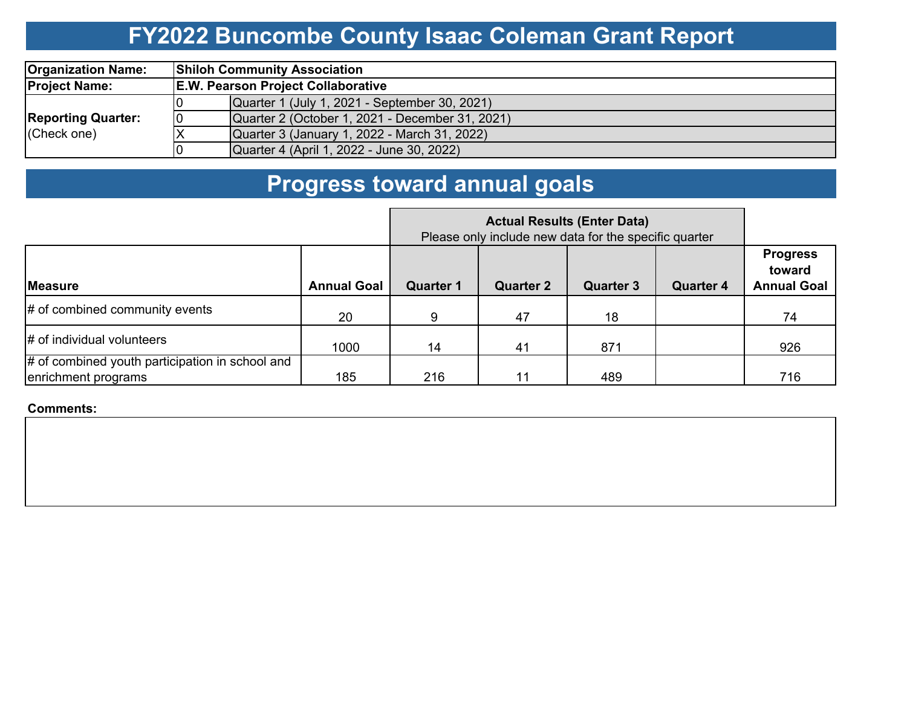# **FY2022 Buncombe County Isaac Coleman Grant Report**

| <b>Organization Name:</b> |                                           | <b>Shiloh Community Association</b>             |  |  |  |  |  |  |  |  |  |  |
|---------------------------|-------------------------------------------|-------------------------------------------------|--|--|--|--|--|--|--|--|--|--|
| <b>Project Name:</b>      | <b>E.W. Pearson Project Collaborative</b> |                                                 |  |  |  |  |  |  |  |  |  |  |
|                           |                                           | Quarter 1 (July 1, 2021 - September 30, 2021)   |  |  |  |  |  |  |  |  |  |  |
| Reporting Quarter:        |                                           | Quarter 2 (October 1, 2021 - December 31, 2021) |  |  |  |  |  |  |  |  |  |  |
| (Check one)               |                                           | Quarter 3 (January 1, 2022 - March 31, 2022)    |  |  |  |  |  |  |  |  |  |  |
|                           |                                           | Quarter 4 (April 1, 2022 - June 30, 2022)       |  |  |  |  |  |  |  |  |  |  |

# **Progress toward annual goals**

|                                                                        |                    | Please only include new data for the specific quarter |                  |                  |                  |                                                 |
|------------------------------------------------------------------------|--------------------|-------------------------------------------------------|------------------|------------------|------------------|-------------------------------------------------|
| <b>Measure</b>                                                         | <b>Annual Goal</b> | <b>Quarter 1</b>                                      | <b>Quarter 2</b> | <b>Quarter 3</b> | <b>Quarter 4</b> | <b>Progress</b><br>toward<br><b>Annual Goal</b> |
| $\#$ of combined community events                                      | 20                 | 9                                                     | 47               | 18               |                  | 74                                              |
| $\sharp$ of individual volunteers                                      | 1000               | 14                                                    | 41               | 871              |                  | 926                                             |
| # of combined youth participation in school and<br>enrichment programs | 185                | 216                                                   | 11               | 489              |                  | 716                                             |

**Comments:**